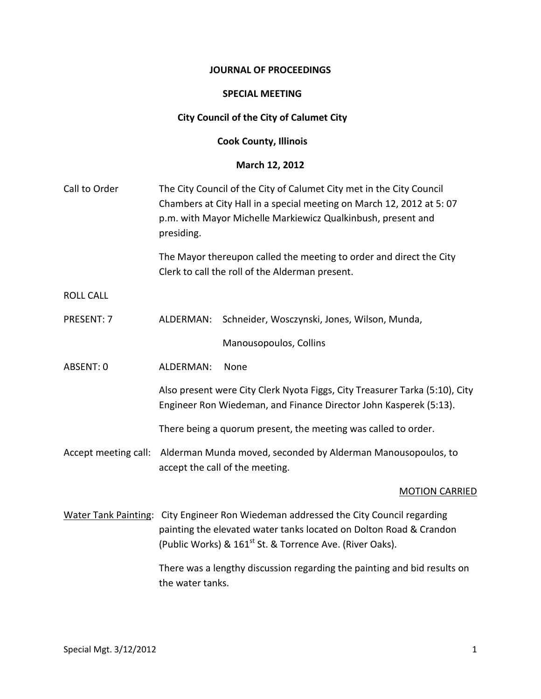#### **JOURNAL OF PROCEEDINGS**

#### **SPECIAL MEETING**

## **City Council of the City of Calumet City**

## **Cook County, Illinois**

#### **March 12, 2012**

| Call to Order               | presiding.       | The City Council of the City of Calumet City met in the City Council<br>Chambers at City Hall in a special meeting on March 12, 2012 at 5:07<br>p.m. with Mayor Michelle Markiewicz Qualkinbush, present and  |
|-----------------------------|------------------|---------------------------------------------------------------------------------------------------------------------------------------------------------------------------------------------------------------|
|                             |                  | The Mayor thereupon called the meeting to order and direct the City<br>Clerk to call the roll of the Alderman present.                                                                                        |
| <b>ROLL CALL</b>            |                  |                                                                                                                                                                                                               |
| PRESENT: 7                  | ALDERMAN:        | Schneider, Wosczynski, Jones, Wilson, Munda,                                                                                                                                                                  |
|                             |                  | Manousopoulos, Collins                                                                                                                                                                                        |
| ABSENT: 0                   | ALDERMAN:        | None                                                                                                                                                                                                          |
|                             |                  | Also present were City Clerk Nyota Figgs, City Treasurer Tarka (5:10), City<br>Engineer Ron Wiedeman, and Finance Director John Kasperek (5:13).                                                              |
|                             |                  | There being a quorum present, the meeting was called to order.                                                                                                                                                |
| Accept meeting call:        |                  | Alderman Munda moved, seconded by Alderman Manousopoulos, to<br>accept the call of the meeting.                                                                                                               |
|                             |                  | <b>MOTION CARRIED</b>                                                                                                                                                                                         |
| <b>Water Tank Painting:</b> |                  | City Engineer Ron Wiedeman addressed the City Council regarding<br>painting the elevated water tanks located on Dolton Road & Crandon<br>(Public Works) & 161 <sup>st</sup> St. & Torrence Ave. (River Oaks). |
|                             | the water tanks. | There was a lengthy discussion regarding the painting and bid results on                                                                                                                                      |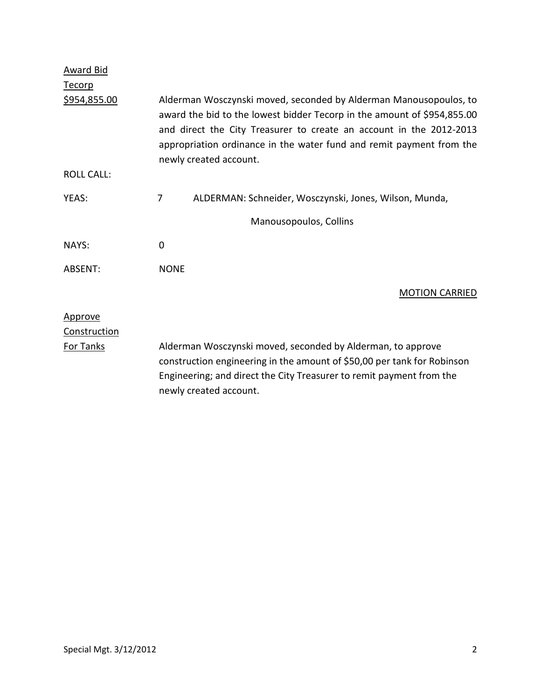| Award Bid           |                                                                                                                                                                                                                                                                                                                       |
|---------------------|-----------------------------------------------------------------------------------------------------------------------------------------------------------------------------------------------------------------------------------------------------------------------------------------------------------------------|
| <b>Tecorp</b>       |                                                                                                                                                                                                                                                                                                                       |
| <u>\$954,855.00</u> | Alderman Wosczynski moved, seconded by Alderman Manousopoulos, to<br>award the bid to the lowest bidder Tecorp in the amount of \$954,855.00<br>and direct the City Treasurer to create an account in the 2012-2013<br>appropriation ordinance in the water fund and remit payment from the<br>newly created account. |
| <b>ROLL CALL:</b>   |                                                                                                                                                                                                                                                                                                                       |
| YEAS:               | 7<br>ALDERMAN: Schneider, Wosczynski, Jones, Wilson, Munda,                                                                                                                                                                                                                                                           |
|                     | Manousopoulos, Collins                                                                                                                                                                                                                                                                                                |
| NAYS:               | 0                                                                                                                                                                                                                                                                                                                     |
| ABSENT:             | <b>NONE</b>                                                                                                                                                                                                                                                                                                           |
|                     | <b>MOTION CARRIED</b>                                                                                                                                                                                                                                                                                                 |
| Approve             |                                                                                                                                                                                                                                                                                                                       |
| Construction        |                                                                                                                                                                                                                                                                                                                       |
| <b>For Tanks</b>    | Alderman Wosczynski moved, seconded by Alderman, to approve<br>construction engineering in the amount of \$50,00 per tank for Robinson<br>Engineering; and direct the City Treasurer to remit payment from the<br>newly created account.                                                                              |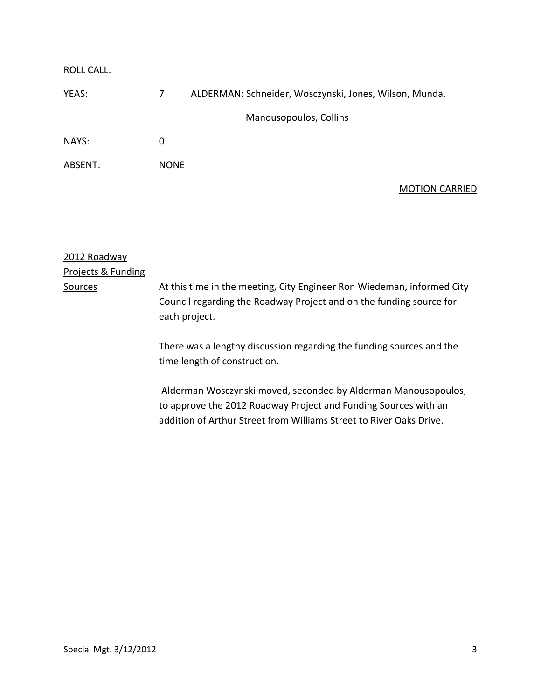| Manousopoulos, Collins |                                                                                 |
|------------------------|---------------------------------------------------------------------------------|
|                        |                                                                                 |
|                        |                                                                                 |
|                        | ALDERMAN: Schneider, Wosczynski, Jones, Wilson, Munda,<br>7<br>0<br><b>NONE</b> |

## MOTION CARRIED

| 2012 Roadway       |                                                                                                                                                                |
|--------------------|----------------------------------------------------------------------------------------------------------------------------------------------------------------|
| Projects & Funding |                                                                                                                                                                |
| Sources            | At this time in the meeting, City Engineer Ron Wiedeman, informed City<br>Council regarding the Roadway Project and on the funding source for<br>each project. |
|                    | There was a lengthy discussion regarding the funding sources and the<br>time length of construction.                                                           |
|                    | Alderman Wosczynski moved, seconded by Alderman Manousopoulos,<br>to approve the 2012 Roadway Project and Funding Sources with an                              |

addition of Arthur Street from Williams Street to River Oaks Drive.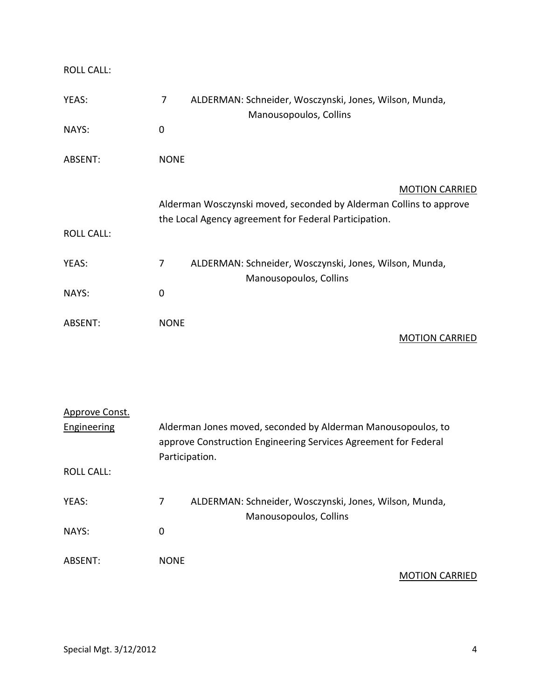ROLL CALL:

| YEAS:             | 7<br>ALDERMAN: Schneider, Wosczynski, Jones, Wilson, Munda,<br>Manousopoulos, Collins                                       |
|-------------------|-----------------------------------------------------------------------------------------------------------------------------|
| NAYS:             | $\mathbf 0$                                                                                                                 |
| ABSENT:           | <b>NONE</b>                                                                                                                 |
|                   | <b>MOTION CARRIED</b>                                                                                                       |
|                   | Alderman Wosczynski moved, seconded by Alderman Collins to approve<br>the Local Agency agreement for Federal Participation. |
| <b>ROLL CALL:</b> |                                                                                                                             |
|                   |                                                                                                                             |
| YEAS:             | $\overline{7}$<br>ALDERMAN: Schneider, Wosczynski, Jones, Wilson, Munda,                                                    |
|                   | Manousopoulos, Collins                                                                                                      |
| NAYS:             | $\mathbf 0$                                                                                                                 |
|                   |                                                                                                                             |
| ABSENT:           | <b>NONE</b>                                                                                                                 |
|                   | <b>MOTION CARRIED</b>                                                                                                       |

| Approve Const. |                                                                                                                                                   |  |
|----------------|---------------------------------------------------------------------------------------------------------------------------------------------------|--|
| Engineering    | Alderman Jones moved, seconded by Alderman Manousopoulos, to<br>approve Construction Engineering Services Agreement for Federal<br>Participation. |  |
| ROLL CALL:     |                                                                                                                                                   |  |
| YEAS:          | ALDERMAN: Schneider, Wosczynski, Jones, Wilson, Munda,<br>7<br>Manousopoulos, Collins                                                             |  |
| NAYS:          | 0                                                                                                                                                 |  |
| ABSFNT:        | <b>NONF</b>                                                                                                                                       |  |

MOTION CARRIED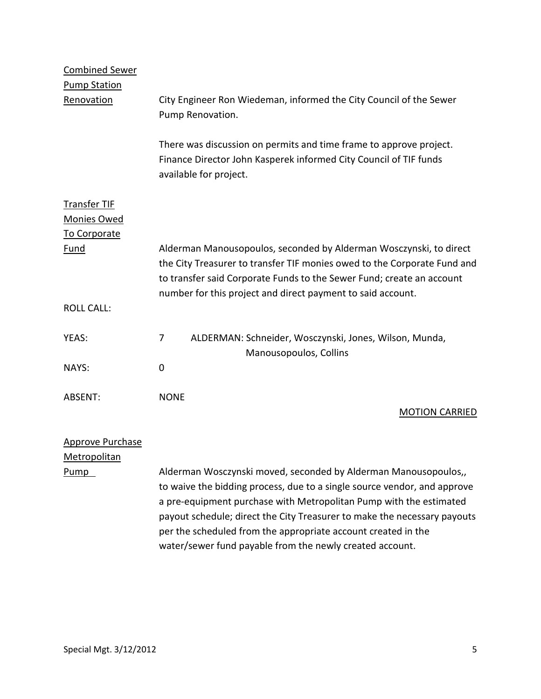| <b>Combined Sewer</b><br><b>Pump Station</b>              |                                                                                                                                                                                                                                                                                               |
|-----------------------------------------------------------|-----------------------------------------------------------------------------------------------------------------------------------------------------------------------------------------------------------------------------------------------------------------------------------------------|
| Renovation                                                | City Engineer Ron Wiedeman, informed the City Council of the Sewer<br>Pump Renovation.                                                                                                                                                                                                        |
|                                                           | There was discussion on permits and time frame to approve project.<br>Finance Director John Kasperek informed City Council of TIF funds<br>available for project.                                                                                                                             |
| <b>Transfer TIF</b><br><b>Monies Owed</b><br>To Corporate |                                                                                                                                                                                                                                                                                               |
| Fund                                                      | Alderman Manousopoulos, seconded by Alderman Wosczynski, to direct<br>the City Treasurer to transfer TIF monies owed to the Corporate Fund and<br>to transfer said Corporate Funds to the Sewer Fund; create an account                                                                       |
| <b>ROLL CALL:</b>                                         | number for this project and direct payment to said account.                                                                                                                                                                                                                                   |
| YEAS:                                                     | 7<br>ALDERMAN: Schneider, Wosczynski, Jones, Wilson, Munda,<br>Manousopoulos, Collins                                                                                                                                                                                                         |
| NAYS:                                                     | $\overline{0}$                                                                                                                                                                                                                                                                                |
| ABSENT:                                                   | <b>NONE</b><br><b>MOTION CARRIED</b>                                                                                                                                                                                                                                                          |
| <b>Approve Purchase</b><br>Metropolitan                   |                                                                                                                                                                                                                                                                                               |
| Pump                                                      | Alderman Wosczynski moved, seconded by Alderman Manousopoulos,,<br>to waive the bidding process, due to a single source vendor, and approve<br>a pre-equipment purchase with Metropolitan Pump with the estimated<br>payout schedule; direct the City Treasurer to make the necessary payouts |

per the scheduled from the appropriate account created in the water/sewer fund payable from the newly created account.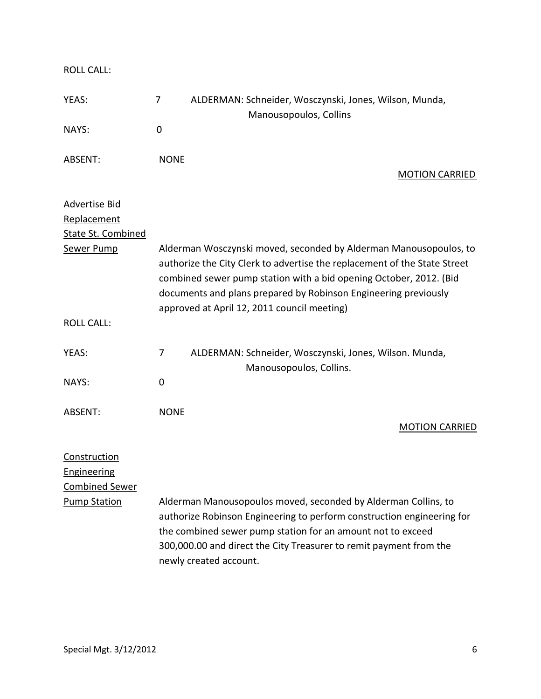ROLL CALL: YEAS: 7 ALDERMAN: Schneider, Wosczynski, Jones, Wilson, Munda, Manousopoulos, Collins NAYS: 0 ABSENT: NONE MOTION CARRIED Advertise Bid Replacement State St. Combined Sewer Pump Alderman Wosczynski moved, seconded by Alderman Manousopoulos, to authorize the City Clerk to advertise the replacement of the State Street combined sewer pump station with a bid opening October, 2012. (Bid documents and plans prepared by Robinson Engineering previously approved at April 12, 2011 council meeting) ROLL CALL: YEAS: 7 ALDERMAN: Schneider, Wosczynski, Jones, Wilson. Munda, Manousopoulos, Collins. NAYS: 0 ABSENT: NONE MOTION CARRIED Construction Engineering Combined Sewer Pump Station Alderman Manousopoulos moved, seconded by Alderman Collins, to authorize Robinson Engineering to perform construction engineering for the combined sewer pump station for an amount not to exceed 300,000.00 and direct the City Treasurer to remit payment from the newly created account.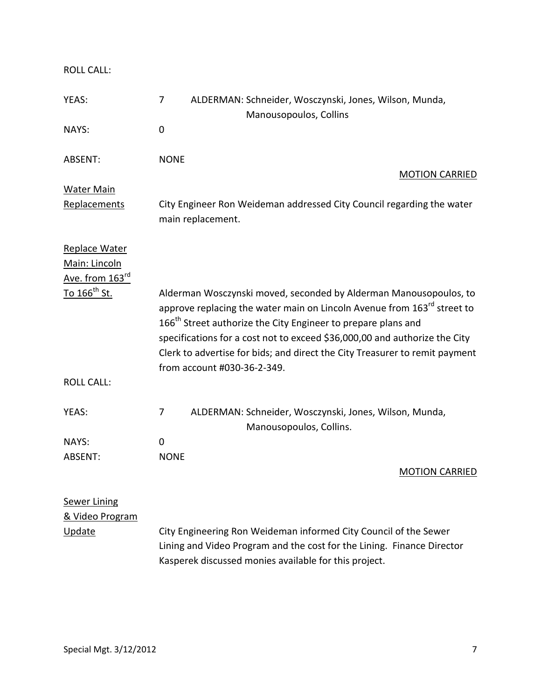ROLL CALL:

| YEAS:                                                         | ALDERMAN: Schneider, Wosczynski, Jones, Wilson, Munda,<br>7<br>Manousopoulos, Collins                                                                                                                                                                                                                                                                                                                                             |
|---------------------------------------------------------------|-----------------------------------------------------------------------------------------------------------------------------------------------------------------------------------------------------------------------------------------------------------------------------------------------------------------------------------------------------------------------------------------------------------------------------------|
| NAYS:                                                         | 0                                                                                                                                                                                                                                                                                                                                                                                                                                 |
| ABSENT:                                                       | <b>NONE</b><br><b>MOTION CARRIED</b>                                                                                                                                                                                                                                                                                                                                                                                              |
| <b>Water Main</b>                                             |                                                                                                                                                                                                                                                                                                                                                                                                                                   |
| Replacements                                                  | City Engineer Ron Weideman addressed City Council regarding the water<br>main replacement.                                                                                                                                                                                                                                                                                                                                        |
| Replace Water<br>Main: Lincoln<br>Ave. from 163 <sup>rd</sup> |                                                                                                                                                                                                                                                                                                                                                                                                                                   |
| <u>To 166th St.</u>                                           | Alderman Wosczynski moved, seconded by Alderman Manousopoulos, to<br>approve replacing the water main on Lincoln Avenue from 163 <sup>rd</sup> street to<br>166 <sup>th</sup> Street authorize the City Engineer to prepare plans and<br>specifications for a cost not to exceed \$36,000,00 and authorize the City<br>Clerk to advertise for bids; and direct the City Treasurer to remit payment<br>from account #030-36-2-349. |
| <b>ROLL CALL:</b>                                             |                                                                                                                                                                                                                                                                                                                                                                                                                                   |
| YEAS:                                                         | ALDERMAN: Schneider, Wosczynski, Jones, Wilson, Munda,<br>7<br>Manousopoulos, Collins.                                                                                                                                                                                                                                                                                                                                            |
| <b>NAYS:</b>                                                  | 0                                                                                                                                                                                                                                                                                                                                                                                                                                 |
| ABSENT:                                                       | <b>NONE</b><br><b>MOTION CARRIED</b>                                                                                                                                                                                                                                                                                                                                                                                              |
| <b>Sewer Lining</b><br>& Video Program                        |                                                                                                                                                                                                                                                                                                                                                                                                                                   |
| Update                                                        | City Engineering Ron Weideman informed City Council of the Sewer<br>Lining and Video Program and the cost for the Lining. Finance Director<br>Kasperek discussed monies available for this project.                                                                                                                                                                                                                               |